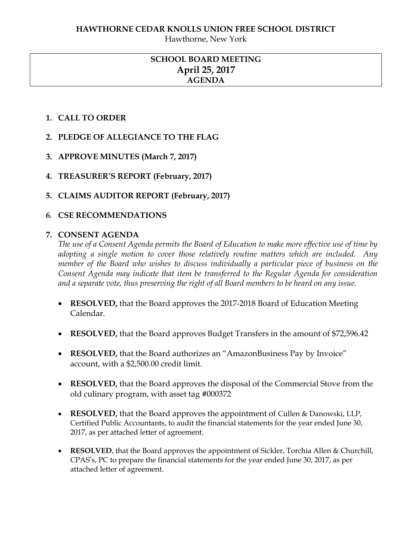Hawthorne, New York

# **SCHOOL BOARD MEETING April 25, 2017 AGENDA**

# **1. CALL TO ORDER**

- **2. PLEDGE OF ALLEGIANCE TO THE FLAG**
- **3. APPROVE MINUTES (March 7, 2017)**
- **4. TREASURER'S REPORT (February, 2017)**
- **5. CLAIMS AUDITOR REPORT (February, 2017)**

# *6.* **CSE RECOMMENDATIONS**

# **7. CONSENT AGENDA**

*The use of a Consent Agenda permits the Board of Education to make more effective use of time by adopting a single motion to cover those relatively routine matters which are included. Any member of the Board who wishes to discuss individually a particular piece of business on the Consent Agenda may indicate that item be transferred to the Regular Agenda for consideration and a separate vote, thus preserving the right of all Board members to be heard on any issue.* 

- **RESOLVED,** that the Board approves the 2017-2018 Board of Education Meeting Calendar.
- **RESOLVED,** that the Board approves Budget Transfers in the amount of \$72,596.42
- RESOLVED, that the Board authorizes an "AmazonBusiness Pay by Invoice" account, with a \$2,500.00 credit limit.
- **RESOLVED,** that the Board approves the disposal of the Commercial Stove from the old culinary program, with asset tag #000372
- **RESOLVED,** that the Board approves the appointment of Cullen & Danowski, LLP, Certified Public Accountants, to audit the financial statements for the year ended June 30, 2017, as per attached letter of agreement.
- **RESOLVED**, that the Board approves the appointment of Sickler, Torchia Allen & Churchill, CPAS's, PC to prepare the financial statements for the year ended June 30, 2017, as per attached letter of agreement.